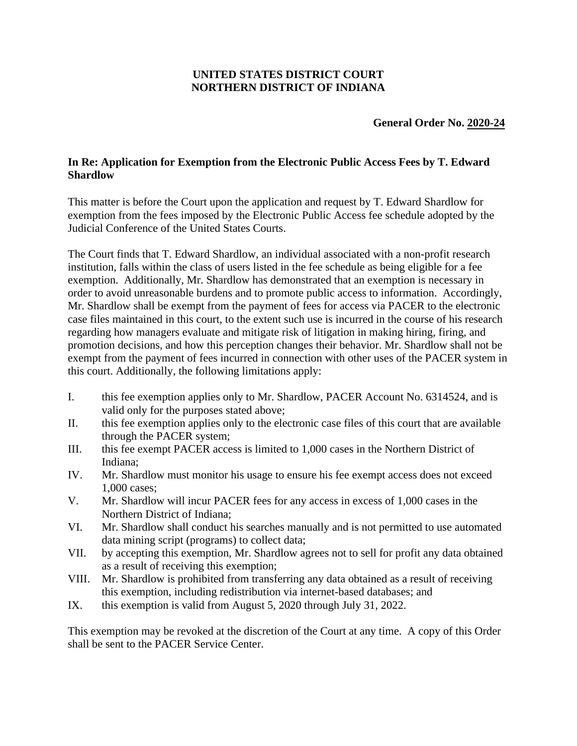## **UNITED STATES DISTRICT COURT NORTHERN DISTRICT OF INDIANA**

## **General Order No. 2020-24**

## **In Re: Application for Exemption from the Electronic Public Access Fees by T. Edward Shardlow**

This matter is before the Court upon the application and request by T. Edward Shardlow for exemption from the fees imposed by the Electronic Public Access fee schedule adopted by the Judicial Conference of the United States Courts.

The Court finds that T. Edward Shardlow, an individual associated with a non-profit research institution, falls within the class of users listed in the fee schedule as being eligible for a fee exemption. Additionally, Mr. Shardlow has demonstrated that an exemption is necessary in order to avoid unreasonable burdens and to promote public access to information. Accordingly, Mr. Shardlow shall be exempt from the payment of fees for access via PACER to the electronic case files maintained in this court, to the extent such use is incurred in the course of his research regarding how managers evaluate and mitigate risk of litigation in making hiring, firing, and promotion decisions, and how this perception changes their behavior. Mr. Shardlow shall not be exempt from the payment of fees incurred in connection with other uses of the PACER system in this court. Additionally, the following limitations apply:

- I. this fee exemption applies only to Mr. Shardlow, PACER Account No. 6314524, and is valid only for the purposes stated above;
- II. this fee exemption applies only to the electronic case files of this court that are available through the PACER system;
- III. this fee exempt PACER access is limited to 1,000 cases in the Northern District of Indiana;
- IV. Mr. Shardlow must monitor his usage to ensure his fee exempt access does not exceed 1,000 cases;
- V. Mr. Shardlow will incur PACER fees for any access in excess of 1,000 cases in the Northern District of Indiana;
- VI. Mr. Shardlow shall conduct his searches manually and is not permitted to use automated data mining script (programs) to collect data;
- VII. by accepting this exemption, Mr. Shardlow agrees not to sell for profit any data obtained as a result of receiving this exemption;
- VIII. Mr. Shardlow is prohibited from transferring any data obtained as a result of receiving this exemption, including redistribution via internet-based databases; and
- IX. this exemption is valid from August 5, 2020 through July 31, 2022.

This exemption may be revoked at the discretion of the Court at any time. A copy of this Order shall be sent to the PACER Service Center.